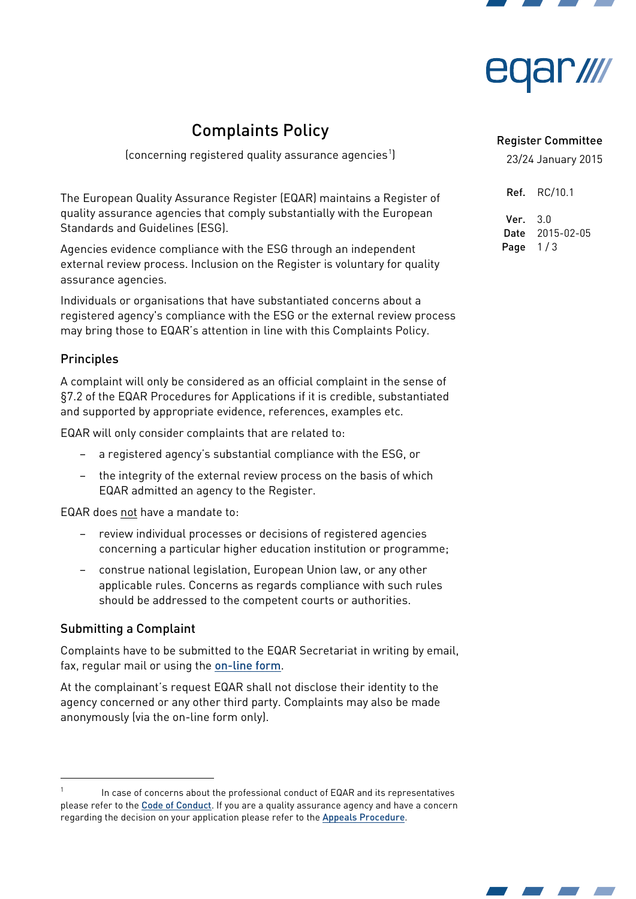



# Complaints Policy

(concerning registered quality assurance agencies $^1$  $^1$ )

The European Quality Assurance Register (EQAR) maintains a Register of quality assurance agencies that comply substantially with the European Standards and Guidelines (ESG).

Agencies evidence compliance with the ESG through an independent external review process. Inclusion on the Register is voluntary for quality assurance agencies.

Individuals or organisations that have substantiated concerns about a registered agency's compliance with the ESG or the external review process may bring those to EQAR's attention in line with this Complaints Policy.

# **Principles**

A complaint will only be considered as an official complaint in the sense of §7.2 of the EQAR Procedures for Applications if it is credible, substantiated and supported by appropriate evidence, references, examples etc.

EQAR will only consider complaints that are related to:

- a registered agency's substantial compliance with the ESG, or
- the integrity of the external review process on the basis of which EQAR admitted an agency to the Register.

EQAR does not have a mandate to:

- review individual processes or decisions of registered agencies concerning a particular higher education institution or programme;
- construe national legislation, European Union law, or any other applicable rules. Concerns as regards compliance with such rules should be addressed to the competent courts or authorities.

# Submitting a Complaint

-

Complaints have to be submitted to the EQAR Secretariat in writing by email, fax, regular mail or using the [on-line form](https://eqar.eu/register/complaints/form.html).

At the complainant's request EQAR shall not disclose their identity to the agency concerned or any other third party. Complaints may also be made anonymously (via the on-line form only).

#### Register Committee

23/24 January 2015

| Ref. | RC/10.1    |
|------|------------|
| Ver. | 3.0        |
| Date | 2015-02-05 |
| Page | 1/3        |



<span id="page-0-0"></span>In case of concerns about the professional conduct of EQAR and its representatives please refer to the [Code of Conduct](http://eqar.eu/fileadmin/documents/eqar/official/EB14_04_1_CodeOfConduct_v1_0.pdf). If you are a quality assurance agency and have a concern regarding the decision on your application please refer to the [Appeals Procedure](http://eqar.eu/fileadmin/documents/eqar/official/GA1_05_1_AppealsProcedure_v1_0_ADOPT.pdf).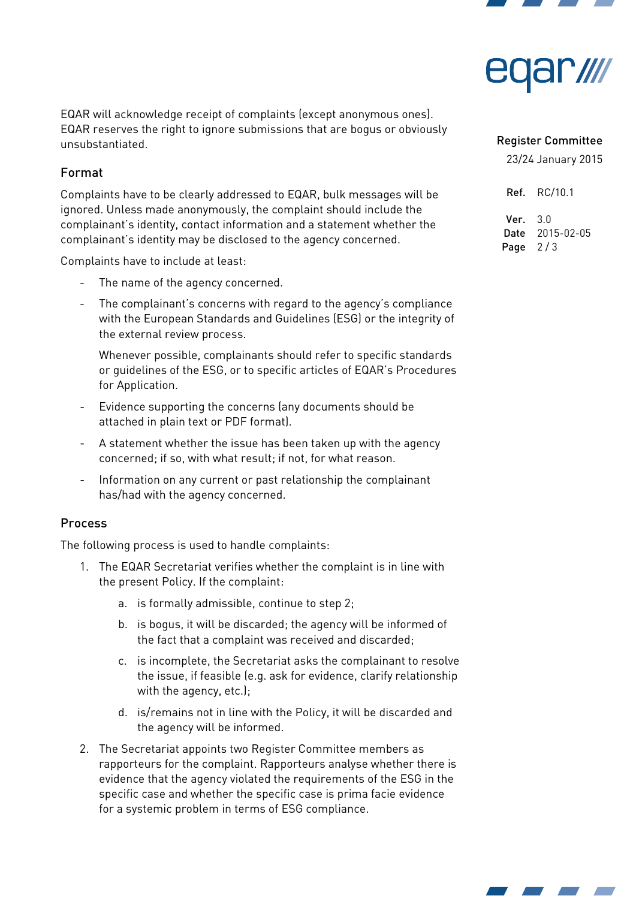



EQAR will acknowledge receipt of complaints (except anonymous ones). EQAR reserves the right to ignore submissions that are bogus or obviously unsubstantiated.

## Format

Complaints have to be clearly addressed to EQAR, bulk messages will be ignored. Unless made anonymously, the complaint should include the complainant's identity, contact information and a statement whether the complainant's identity may be disclosed to the agency concerned.

Complaints have to include at least:

- The name of the agency concerned.
- The complainant's concerns with regard to the agency's compliance with the European Standards and Guidelines (ESG) or the integrity of the external review process.

Whenever possible, complainants should refer to specific standards or guidelines of the ESG, or to specific articles of EQAR's Procedures for Application.

- Evidence supporting the concerns (any documents should be attached in plain text or PDF format).
- A statement whether the issue has been taken up with the agency concerned; if so, with what result; if not, for what reason.
- Information on any current or past relationship the complainant has/had with the agency concerned.

#### Process

The following process is used to handle complaints:

- 1. The EQAR Secretariat verifies whether the complaint is in line with the present Policy. If the complaint:
	- a. is formally admissible, continue to step 2;
	- b. is bogus, it will be discarded; the agency will be informed of the fact that a complaint was received and discarded;
	- c. is incomplete, the Secretariat asks the complainant to resolve the issue, if feasible (e.g. ask for evidence, clarify relationship with the agency, etc.);
	- d. is/remains not in line with the Policy, it will be discarded and the agency will be informed.
- 2. The Secretariat appoints two Register Committee members as rapporteurs for the complaint. Rapporteurs analyse whether there is evidence that the agency violated the requirements of the ESG in the specific case and whether the specific case is prima facie evidence for a systemic problem in terms of ESG compliance.

#### Register Committee

23/24 January 2015

Ref. RC/10.1 Ver. 3.0 Date 2015-02-05 Page  $2/3$